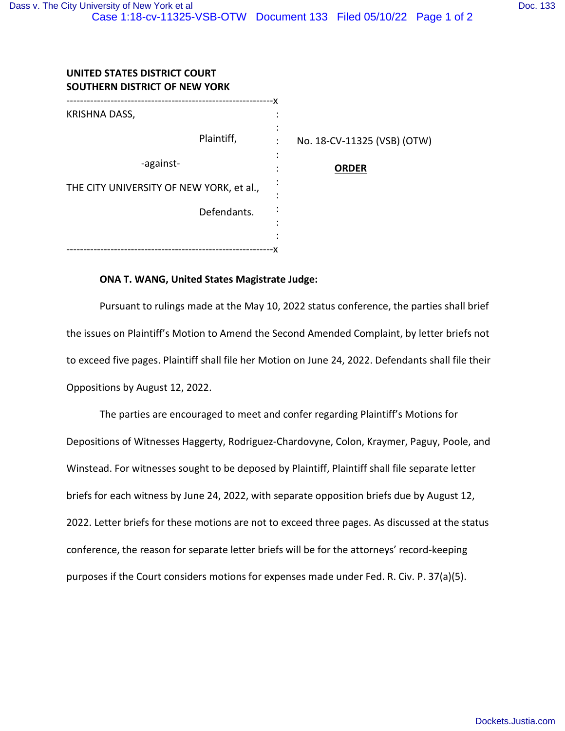| UNITED STATES DISTRICT COURT<br>SOUTHERN DISTRICT OF NEW YORK |                             |
|---------------------------------------------------------------|-----------------------------|
| -----------------<br>KRISHNA DASS,                            |                             |
| Plaintiff,                                                    | No. 18-CV-11325 (VSB) (OTW) |
| -against-                                                     | <b>ORDER</b>                |
| THE CITY UNIVERSITY OF NEW YORK, et al.,                      |                             |
| Defendants.                                                   |                             |
|                                                               |                             |
|                                                               |                             |

## **ONA T. WANG, United States Magistrate Judge:**

Pursuant to rulings made at the May 10, 2022 status conference, the parties shall brief the issues on Plaintiff's Motion to Amend the Second Amended Complaint, by letter briefs not to exceed five pages. Plaintiff shall file her Motion on June 24, 2022. Defendants shall file their Oppositions by August 12, 2022.

The parties are encouraged to meet and confer regarding Plaintiff's Motions for Depositions of Witnesses Haggerty, Rodriguez-Chardovyne, Colon, Kraymer, Paguy, Poole, and Winstead. For witnesses sought to be deposed by Plaintiff, Plaintiff shall file separate letter briefs for each witness by June 24, 2022, with separate opposition briefs due by August 12, 2022. Letter briefs for these motions are not to exceed three pages. As discussed at the status conference, the reason for separate letter briefs will be for the attorneys' record-keeping purposes if the Court considers motions for expenses made under Fed. R. Civ. P. 37(a)(5).